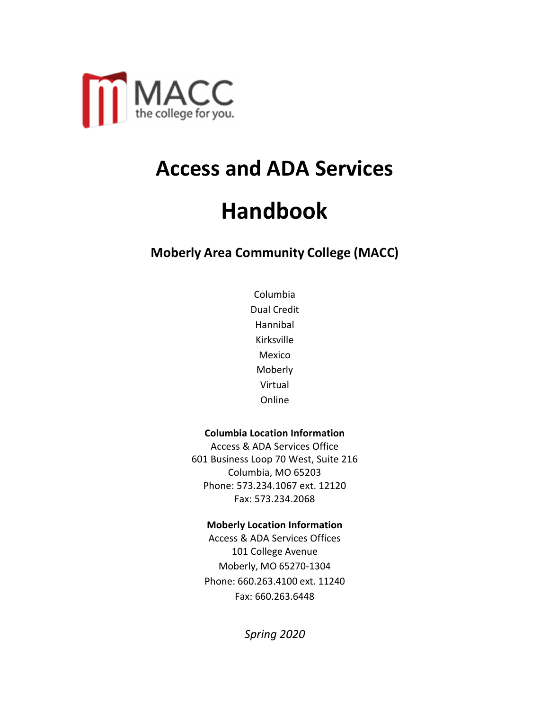

# **Access and ADA Services**

# **Handbook**

**Moberly Area Community College (MACC)**

Columbia Dual Credit Hannibal Kirksville Mexico Moberly Virtual Online

#### **Columbia Location Information**

Access & ADA Services Office 601 Business Loop 70 West, Suite 216 Columbia, MO 65203 Phone: 573.234.1067 ext. 12120 Fax: 573.234.2068

#### **Moberly Location Information**

Access & ADA Services Offices 101 College Avenue Moberly, MO 65270-1304 Phone: 660.263.4100 ext. 11240 Fax: 660.263.6448

*Spring 2020*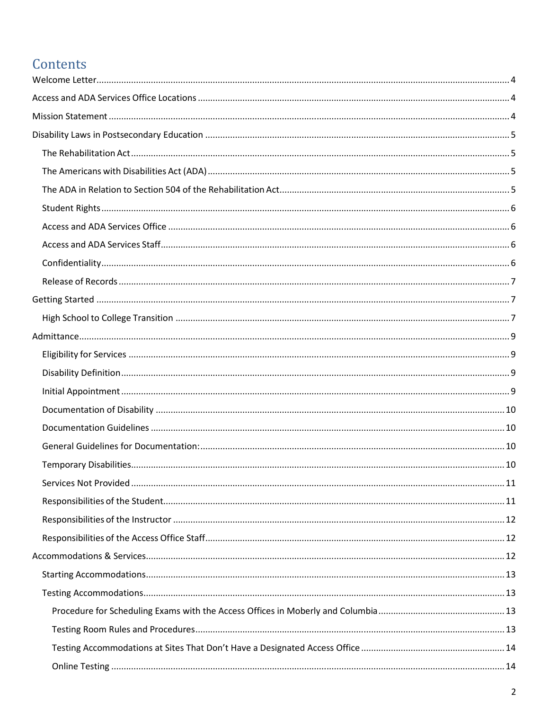## Contents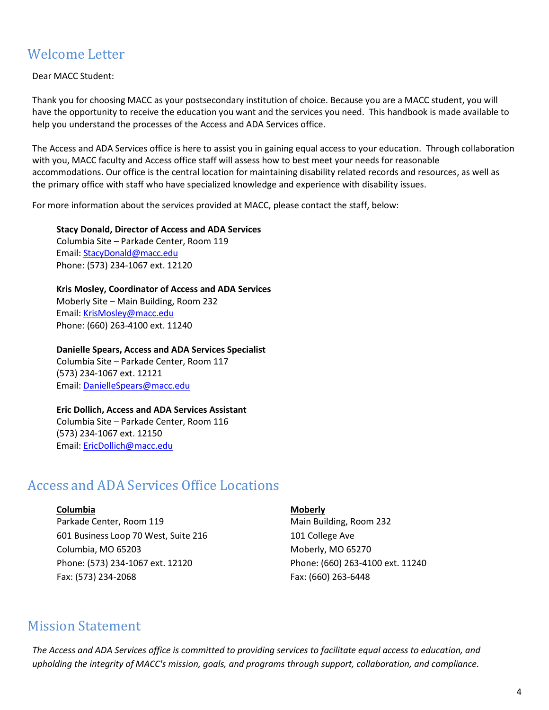## Welcome Letter

Dear MACC Student:

Thank you for choosing MACC as your postsecondary institution of choice. Because you are a MACC student, you will have the opportunity to receive the education you want and the services you need. This handbook is made available to help you understand the processes of the Access and ADA Services office.

The Access and ADA Services office is here to assist you in gaining equal access to your education. Through collaboration with you, MACC faculty and Access office staff will assess how to best meet your needs for reasonable accommodations. Our office is the central location for maintaining disability related records and resources, as well as the primary office with staff who have specialized knowledge and experience with disability issues.

For more information about the services provided at MACC, please contact the staff, below:

**Stacy Donald, Director of Access and ADA Services**  Columbia Site – Parkade Center, Room 119 Email: StacyDonald@macc.edu Phone: (573) 234-1067 ext. 12120

**Kris Mosley, Coordinator of Access and ADA Services** Moberly Site – Main Building, Room 232 Email: KrisMosley@macc.edu Phone: (660) 263-4100 ext. 11240

**Danielle Spears, Access and ADA Services Specialist**

Columbia Site – Parkade Center, Room 117 (573) 234-1067 ext. 12121 Email: DanielleSpears@macc.edu

#### **Eric Dollich, Access and ADA Services Assistant**

Columbia Site – Parkade Center, Room 116 (573) 234-1067 ext. 12150 Email: EricDollich@macc.edu

## Access and ADA Services Office Locations

#### **Columbia** Moberly

Parkade Center, Room 119 Main Building, Room 232 601 Business Loop 70 West, Suite 216 101 College Ave Columbia, MO 65203 **Moberly, MO 65270** Moberly, MO 65270 Phone: (573) 234-1067 ext. 12120 Phone: (660) 263-4100 ext. 11240 Fax: (573) 234-2068 Fax: (660) 263-6448

## Mission Statement

*The Access and ADA Services office is committed to providing services to facilitate equal access to education, and upholding the integrity of MACC's mission, goals, and programs through support, collaboration, and compliance.*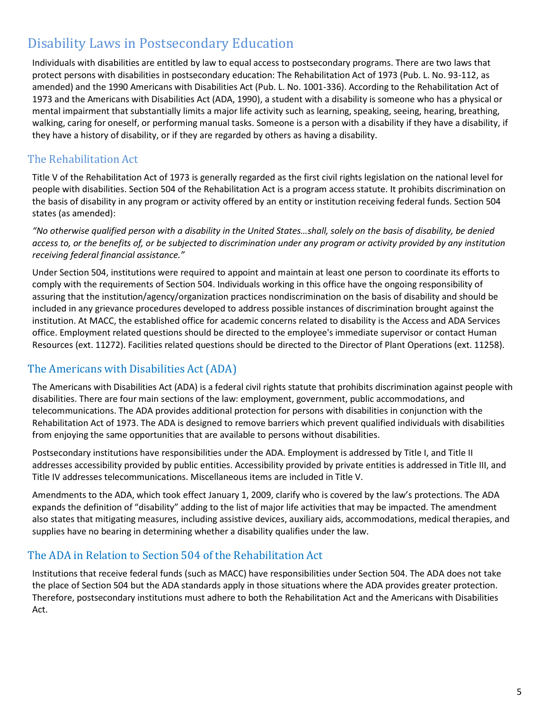## Disability Laws in Postsecondary Education

Individuals with disabilities are entitled by law to equal access to postsecondary programs. There are two laws that protect persons with disabilities in postsecondary education: The Rehabilitation Act of 1973 (Pub. L. No. 93-112, as amended) and the 1990 Americans with Disabilities Act (Pub. L. No. 1001-336). According to the Rehabilitation Act of 1973 and the Americans with Disabilities Act (ADA, 1990), a student with a disability is someone who has a physical or mental impairment that substantially limits a major life activity such as learning, speaking, seeing, hearing, breathing, walking, caring for oneself, or performing manual tasks. Someone is a person with a disability if they have a disability, if they have a history of disability, or if they are regarded by others as having a disability.

## The Rehabilitation Act

Title V of the Rehabilitation Act of 1973 is generally regarded as the first civil rights legislation on the national level for people with disabilities. Section 504 of the Rehabilitation Act is a program access statute. It prohibits discrimination on the basis of disability in any program or activity offered by an entity or institution receiving federal funds. Section 504 states (as amended):

*"No otherwise qualified person with a disability in the United States…shall, solely on the basis of disability, be denied access to, or the benefits of, or be subjected to discrimination under any program or activity provided by any institution receiving federal financial assistance."*

Under Section 504, institutions were required to appoint and maintain at least one person to coordinate its efforts to comply with the requirements of Section 504. Individuals working in this office have the ongoing responsibility of assuring that the institution/agency/organization practices nondiscrimination on the basis of disability and should be included in any grievance procedures developed to address possible instances of discrimination brought against the institution. At MACC, the established office for academic concerns related to disability is the Access and ADA Services office. Employment related questions should be directed to the employee's immediate supervisor or contact Human Resources (ext. 11272). Facilities related questions should be directed to the Director of Plant Operations (ext. 11258).

## The Americans with Disabilities Act (ADA)

The Americans with Disabilities Act (ADA) is a federal civil rights statute that prohibits discrimination against people with disabilities. There are four main sections of the law: employment, government, public accommodations, and telecommunications. The ADA provides additional protection for persons with disabilities in conjunction with the Rehabilitation Act of 1973. The ADA is designed to remove barriers which prevent qualified individuals with disabilities from enjoying the same opportunities that are available to persons without disabilities.

Postsecondary institutions have responsibilities under the ADA. Employment is addressed by Title I, and Title II addresses accessibility provided by public entities. Accessibility provided by private entities is addressed in Title III, and Title IV addresses telecommunications. Miscellaneous items are included in Title V.

Amendments to the ADA, which took effect January 1, 2009, clarify who is covered by the law's protections. The ADA expands the definition of "disability" adding to the list of major life activities that may be impacted. The amendment also states that mitigating measures, including assistive devices, auxiliary aids, accommodations, medical therapies, and supplies have no bearing in determining whether a disability qualifies under the law.

## The ADA in Relation to Section 504 of the Rehabilitation Act

Institutions that receive federal funds (such as MACC) have responsibilities under Section 504. The ADA does not take the place of Section 504 but the ADA standards apply in those situations where the ADA provides greater protection. Therefore, postsecondary institutions must adhere to both the Rehabilitation Act and the Americans with Disabilities Act.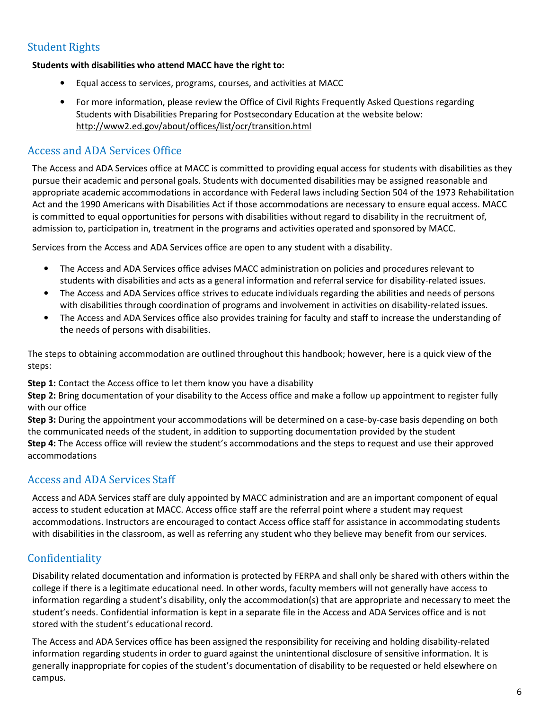## Student Rights

#### **Students with disabilities who attend MACC have the right to:**

- Equal access to services, programs, courses, and activities at MACC
- For more information, please review the Office of Civil Rights Frequently Asked Questions regarding Students with Disabilities Preparing for Postsecondary Education at the website below: http://www2.ed.gov/about/offices/list/ocr/transition.html

### Access and ADA Services Office

The Access and ADA Services office at MACC is committed to providing equal access for students with disabilities as they pursue their academic and personal goals. Students with documented disabilities may be assigned reasonable and appropriate academic accommodations in accordance with Federal laws including Section 504 of the 1973 Rehabilitation Act and the 1990 Americans with Disabilities Act if those accommodations are necessary to ensure equal access. MACC is committed to equal opportunities for persons with disabilities without regard to disability in the recruitment of, admission to, participation in, treatment in the programs and activities operated and sponsored by MACC.

Services from the Access and ADA Services office are open to any student with a disability.

- The Access and ADA Services office advises MACC administration on policies and procedures relevant to students with disabilities and acts as a general information and referral service for disability-related issues.
- The Access and ADA Services office strives to educate individuals regarding the abilities and needs of persons with disabilities through coordination of programs and involvement in activities on disability-related issues.
- The Access and ADA Services office also provides training for faculty and staff to increase the understanding of the needs of persons with disabilities.

The steps to obtaining accommodation are outlined throughout this handbook; however, here is a quick view of the steps:

**Step 1:** Contact the Access office to let them know you have a disability

**Step 2:** Bring documentation of your disability to the Access office and make a follow up appointment to register fully with our office

**Step 3:** During the appointment your accommodations will be determined on a case-by-case basis depending on both the communicated needs of the student, in addition to supporting documentation provided by the student **Step 4:** The Access office will review the student's accommodations and the steps to request and use their approved accommodations

## Access and ADA Services Staff

Access and ADA Services staff are duly appointed by MACC administration and are an important component of equal access to student education at MACC. Access office staff are the referral point where a student may request accommodations. Instructors are encouraged to contact Access office staff for assistance in accommodating students with disabilities in the classroom, as well as referring any student who they believe may benefit from our services.

## Confidentiality

Disability related documentation and information is protected by FERPA and shall only be shared with others within the college if there is a legitimate educational need. In other words, faculty members will not generally have access to information regarding a student's disability, only the accommodation(s) that are appropriate and necessary to meet the student's needs. Confidential information is kept in a separate file in the Access and ADA Services office and is not stored with the student's educational record.

The Access and ADA Services office has been assigned the responsibility for receiving and holding disability-related information regarding students in order to guard against the unintentional disclosure of sensitive information. It is generally inappropriate for copies of the student's documentation of disability to be requested or held elsewhere on campus.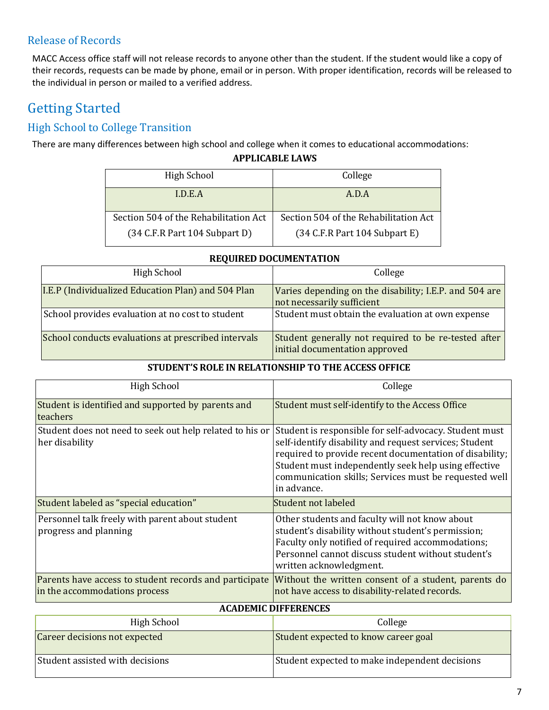## Release of Records

MACC Access office staff will not release records to anyone other than the student. If the student would like a copy of their records, requests can be made by phone, email or in person. With proper identification, records will be released to the individual in person or mailed to a verified address.

## Getting Started

## High School to College Transition

There are many differences between high school and college when it comes to educational accommodations:

#### **APPLICABLE LAWS**

| High School                           | College                                           |
|---------------------------------------|---------------------------------------------------|
|                                       |                                                   |
| LD.E.A                                | A.D.A                                             |
|                                       |                                                   |
|                                       |                                                   |
| Section 504 of the Rehabilitation Act | Section 504 of the Rehabilitation Act             |
|                                       |                                                   |
| (34 C.F.R Part 104 Subpart D)         | $(34 \text{ C.F.R Part } 104 \text{ Subpart } E)$ |
|                                       |                                                   |

| High School                                         | College                                                                                |
|-----------------------------------------------------|----------------------------------------------------------------------------------------|
| I.E.P (Individualized Education Plan) and 504 Plan  | Varies depending on the disability; I.E.P. and 504 are<br>not necessarily sufficient   |
| School provides evaluation at no cost to student    | Student must obtain the evaluation at own expense                                      |
| School conducts evaluations at prescribed intervals | Student generally not required to be re-tested after<br>initial documentation approved |

#### **REQUIRED DOCUMENTATION**

#### **STUDENT'S ROLE IN RELATIONSHIP TO THE ACCESS OFFICE**

| <b>High School</b>                                                                      | College                                                                                                                                                                                                                                                                                                     |  |
|-----------------------------------------------------------------------------------------|-------------------------------------------------------------------------------------------------------------------------------------------------------------------------------------------------------------------------------------------------------------------------------------------------------------|--|
| Student is identified and supported by parents and<br>teachers                          | Student must self-identify to the Access Office                                                                                                                                                                                                                                                             |  |
| Student does not need to seek out help related to his or<br>her disability              | Student is responsible for self-advocacy. Student must<br>self-identify disability and request services; Student<br>required to provide recent documentation of disability;<br>Student must independently seek help using effective<br>communication skills; Services must be requested well<br>in advance. |  |
| Student labeled as "special education"                                                  | Student not labeled                                                                                                                                                                                                                                                                                         |  |
| Personnel talk freely with parent about student<br>progress and planning                | Other students and faculty will not know about<br>student's disability without student's permission;<br>Faculty only notified of required accommodations;<br>Personnel cannot discuss student without student's<br>written acknowledgment.                                                                  |  |
| Parents have access to student records and participate<br>in the accommodations process | Without the written consent of a student, parents do<br>not have access to disability-related records.                                                                                                                                                                                                      |  |
| <b>ACADEMIC DIFFERENCES</b>                                                             |                                                                                                                                                                                                                                                                                                             |  |
| High School                                                                             | College                                                                                                                                                                                                                                                                                                     |  |
| Career decisions not expected                                                           | Student expected to know career goal                                                                                                                                                                                                                                                                        |  |

Student assisted with decisions  $\vert$ Student expected to make independent decisions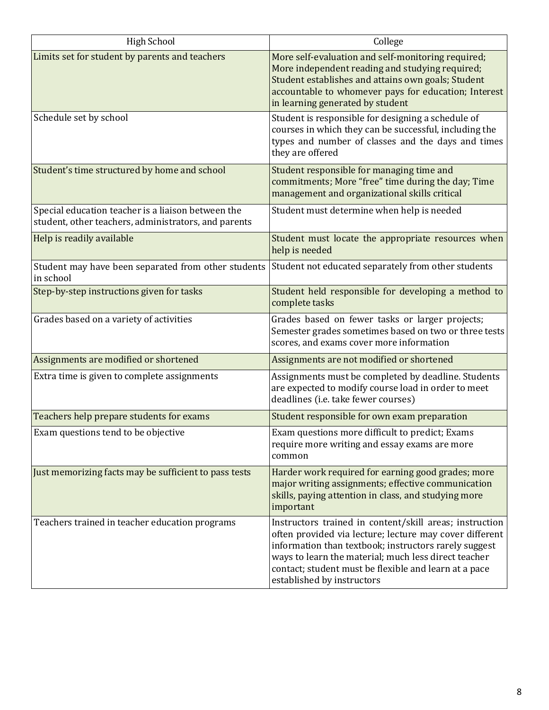| <b>High School</b>                                                                                                   | College                                                                                                                                                                                                                                                                                                                    |
|----------------------------------------------------------------------------------------------------------------------|----------------------------------------------------------------------------------------------------------------------------------------------------------------------------------------------------------------------------------------------------------------------------------------------------------------------------|
| Limits set for student by parents and teachers                                                                       | More self-evaluation and self-monitoring required;<br>More independent reading and studying required;<br>Student establishes and attains own goals; Student<br>accountable to whomever pays for education; Interest<br>in learning generated by student                                                                    |
| Schedule set by school                                                                                               | Student is responsible for designing a schedule of<br>courses in which they can be successful, including the<br>types and number of classes and the days and times<br>they are offered                                                                                                                                     |
| Student's time structured by home and school                                                                         | Student responsible for managing time and<br>commitments; More "free" time during the day; Time<br>management and organizational skills critical                                                                                                                                                                           |
| Special education teacher is a liaison between the<br>student, other teachers, administrators, and parents           | Student must determine when help is needed                                                                                                                                                                                                                                                                                 |
| Help is readily available                                                                                            | Student must locate the appropriate resources when<br>help is needed                                                                                                                                                                                                                                                       |
| Student may have been separated from other students Student not educated separately from other students<br>in school |                                                                                                                                                                                                                                                                                                                            |
| Step-by-step instructions given for tasks                                                                            | Student held responsible for developing a method to<br>complete tasks                                                                                                                                                                                                                                                      |
| Grades based on a variety of activities                                                                              | Grades based on fewer tasks or larger projects;<br>Semester grades sometimes based on two or three tests<br>scores, and exams cover more information                                                                                                                                                                       |
| Assignments are modified or shortened                                                                                | Assignments are not modified or shortened                                                                                                                                                                                                                                                                                  |
| Extra time is given to complete assignments                                                                          | Assignments must be completed by deadline. Students<br>are expected to modify course load in order to meet<br>deadlines (i.e. take fewer courses)                                                                                                                                                                          |
| Teachers help prepare students for exams                                                                             | Student responsible for own exam preparation                                                                                                                                                                                                                                                                               |
| Exam questions tend to be objective                                                                                  | Exam questions more difficult to predict; Exams<br>require more writing and essay exams are more<br>common                                                                                                                                                                                                                 |
| Just memorizing facts may be sufficient to pass tests                                                                | Harder work required for earning good grades; more<br>major writing assignments; effective communication<br>skills, paying attention in class, and studying more<br>important                                                                                                                                              |
| Teachers trained in teacher education programs                                                                       | Instructors trained in content/skill areas; instruction<br>often provided via lecture; lecture may cover different<br>information than textbook; instructors rarely suggest<br>ways to learn the material; much less direct teacher<br>contact; student must be flexible and learn at a pace<br>established by instructors |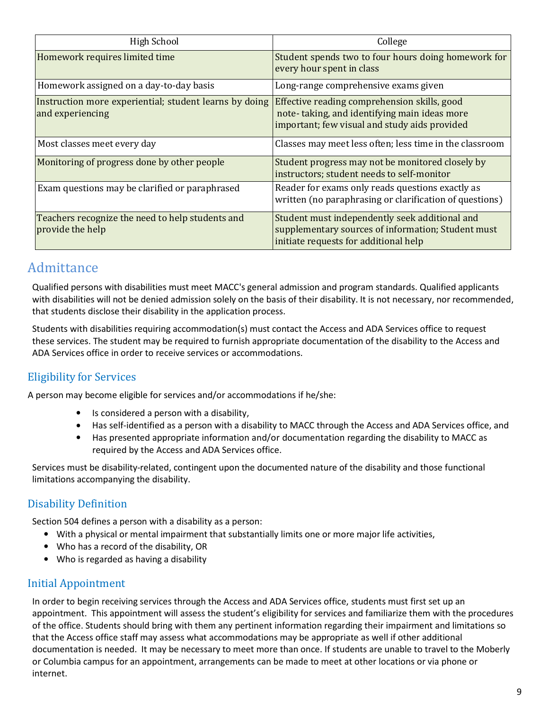| <b>High School</b>                                                         | College                                                                                                                                       |
|----------------------------------------------------------------------------|-----------------------------------------------------------------------------------------------------------------------------------------------|
| Homework requires limited time                                             | Student spends two to four hours doing homework for<br>every hour spent in class                                                              |
| Homework assigned on a day-to-day basis                                    | Long-range comprehensive exams given                                                                                                          |
| Instruction more experiential; student learns by doing<br>and experiencing | Effective reading comprehension skills, good<br>note-taking, and identifying main ideas more<br>important; few visual and study aids provided |
| Most classes meet every day                                                | Classes may meet less often; less time in the classroom                                                                                       |
| Monitoring of progress done by other people                                | Student progress may not be monitored closely by<br>instructors; student needs to self-monitor                                                |
| Exam questions may be clarified or paraphrased                             | Reader for exams only reads questions exactly as<br>written (no paraphrasing or clarification of questions)                                   |
| Teachers recognize the need to help students and<br>provide the help       | Student must independently seek additional and<br>supplementary sources of information; Student must<br>initiate requests for additional help |

## **Admittance**

Qualified persons with disabilities must meet MACC's general admission and program standards. Qualified applicants with disabilities will not be denied admission solely on the basis of their disability. It is not necessary, nor recommended, that students disclose their disability in the application process.

Students with disabilities requiring accommodation(s) must contact the Access and ADA Services office to request these services. The student may be required to furnish appropriate documentation of the disability to the Access and ADA Services office in order to receive services or accommodations.

## Eligibility for Services

A person may become eligible for services and/or accommodations if he/she:

- Is considered a person with a disability,
- Has self-identified as a person with a disability to MACC through the Access and ADA Services office, and
- Has presented appropriate information and/or documentation regarding the disability to MACC as required by the Access and ADA Services office.

Services must be disability-related, contingent upon the documented nature of the disability and those functional limitations accompanying the disability.

## Disability Definition

Section 504 defines a person with a disability as a person:

- With a physical or mental impairment that substantially limits one or more major life activities,
- Who has a record of the disability, OR
- Who is regarded as having a disability

## Initial Appointment

In order to begin receiving services through the Access and ADA Services office, students must first set up an appointment. This appointment will assess the student's eligibility for services and familiarize them with the procedures of the office. Students should bring with them any pertinent information regarding their impairment and limitations so that the Access office staff may assess what accommodations may be appropriate as well if other additional documentation is needed. It may be necessary to meet more than once. If students are unable to travel to the Moberly or Columbia campus for an appointment, arrangements can be made to meet at other locations or via phone or internet.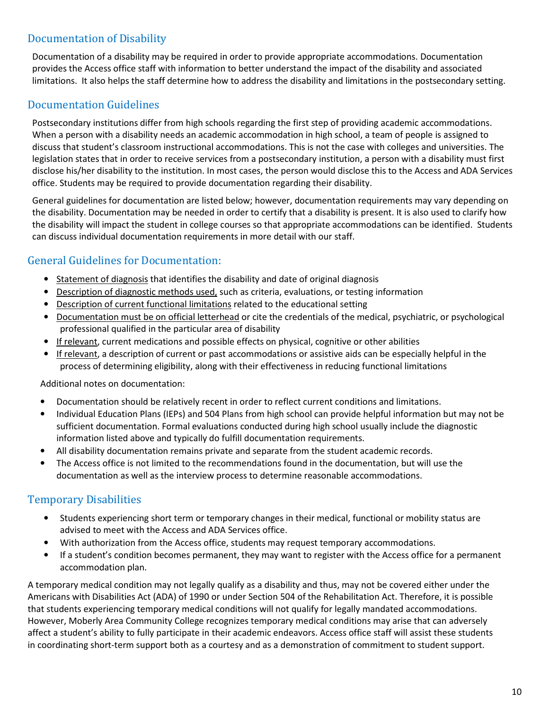## Documentation of Disability

Documentation of a disability may be required in order to provide appropriate accommodations. Documentation provides the Access office staff with information to better understand the impact of the disability and associated limitations. It also helps the staff determine how to address the disability and limitations in the postsecondary setting.

## Documentation Guidelines

Postsecondary institutions differ from high schools regarding the first step of providing academic accommodations. When a person with a disability needs an academic accommodation in high school, a team of people is assigned to discuss that student's classroom instructional accommodations. This is not the case with colleges and universities. The legislation states that in order to receive services from a postsecondary institution, a person with a disability must first disclose his/her disability to the institution. In most cases, the person would disclose this to the Access and ADA Services office. Students may be required to provide documentation regarding their disability.

General guidelines for documentation are listed below; however, documentation requirements may vary depending on the disability. Documentation may be needed in order to certify that a disability is present. It is also used to clarify how the disability will impact the student in college courses so that appropriate accommodations can be identified. Students can discuss individual documentation requirements in more detail with our staff.

## General Guidelines for Documentation:

- Statement of diagnosis that identifies the disability and date of original diagnosis
- Description of diagnostic methods used, such as criteria, evaluations, or testing information
- Description of current functional limitations related to the educational setting
- Documentation must be on official letterhead or cite the credentials of the medical, psychiatric, or psychological professional qualified in the particular area of disability
- If relevant, current medications and possible effects on physical, cognitive or other abilities
- If relevant, a description of current or past accommodations or assistive aids can be especially helpful in the process of determining eligibility, along with their effectiveness in reducing functional limitations

Additional notes on documentation:

- Documentation should be relatively recent in order to reflect current conditions and limitations.
- Individual Education Plans (IEPs) and 504 Plans from high school can provide helpful information but may not be sufficient documentation. Formal evaluations conducted during high school usually include the diagnostic information listed above and typically do fulfill documentation requirements.
- All disability documentation remains private and separate from the student academic records.
- The Access office is not limited to the recommendations found in the documentation, but will use the documentation as well as the interview process to determine reasonable accommodations.

## Temporary Disabilities

- Students experiencing short term or temporary changes in their medical, functional or mobility status are advised to meet with the Access and ADA Services office.
- With authorization from the Access office, students may request temporary accommodations.
- If a student's condition becomes permanent, they may want to register with the Access office for a permanent accommodation plan.

A temporary medical condition may not legally qualify as a disability and thus, may not be covered either under the Americans with Disabilities Act (ADA) of 1990 or under Section 504 of the Rehabilitation Act. Therefore, it is possible that students experiencing temporary medical conditions will not qualify for legally mandated accommodations. However, Moberly Area Community College recognizes temporary medical conditions may arise that can adversely affect a student's ability to fully participate in their academic endeavors. Access office staff will assist these students in coordinating short-term support both as a courtesy and as a demonstration of commitment to student support.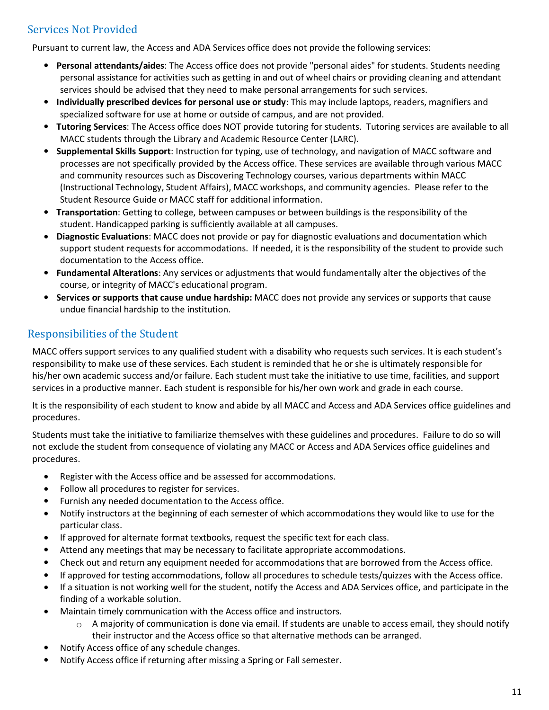## Services Not Provided

Pursuant to current law, the Access and ADA Services office does not provide the following services:

- **Personal attendants/aides**: The Access office does not provide "personal aides" for students. Students needing personal assistance for activities such as getting in and out of wheel chairs or providing cleaning and attendant services should be advised that they need to make personal arrangements for such services.
- **Individually prescribed devices for personal use or study**: This may include laptops, readers, magnifiers and specialized software for use at home or outside of campus, and are not provided.
- **Tutoring Services**: The Access office does NOT provide tutoring for students. Tutoring services are available to all MACC students through the Library and Academic Resource Center (LARC).
- **Supplemental Skills Support**: Instruction for typing, use of technology, and navigation of MACC software and processes are not specifically provided by the Access office. These services are available through various MACC and community resources such as Discovering Technology courses, various departments within MACC (Instructional Technology, Student Affairs), MACC workshops, and community agencies. Please refer to the Student Resource Guide or MACC staff for additional information.
- **Transportation**: Getting to college, between campuses or between buildings is the responsibility of the student. Handicapped parking is sufficiently available at all campuses.
- **Diagnostic Evaluations**: MACC does not provide or pay for diagnostic evaluations and documentation which support student requests for accommodations. If needed, it is the responsibility of the student to provide such documentation to the Access office.
- **Fundamental Alterations**: Any services or adjustments that would fundamentally alter the objectives of the course, or integrity of MACC's educational program.
- **Services or supports that cause undue hardship:** MACC does not provide any services or supports that cause undue financial hardship to the institution.

## Responsibilities of the Student

MACC offers support services to any qualified student with a disability who requests such services. It is each student's responsibility to make use of these services. Each student is reminded that he or she is ultimately responsible for his/her own academic success and/or failure. Each student must take the initiative to use time, facilities, and support services in a productive manner. Each student is responsible for his/her own work and grade in each course.

It is the responsibility of each student to know and abide by all MACC and Access and ADA Services office guidelines and procedures.

Students must take the initiative to familiarize themselves with these guidelines and procedures. Failure to do so will not exclude the student from consequence of violating any MACC or Access and ADA Services office guidelines and procedures.

- Register with the Access office and be assessed for accommodations.
- Follow all procedures to register for services.
- Furnish any needed documentation to the Access office.
- Notify instructors at the beginning of each semester of which accommodations they would like to use for the particular class.
- If approved for alternate format textbooks, request the specific text for each class.
- Attend any meetings that may be necessary to facilitate appropriate accommodations.
- Check out and return any equipment needed for accommodations that are borrowed from the Access office.
- If approved for testing accommodations, follow all procedures to schedule tests/quizzes with the Access office.
- If a situation is not working well for the student, notify the Access and ADA Services office, and participate in the finding of a workable solution.
- Maintain timely communication with the Access office and instructors.
	- $\circ$  A majority of communication is done via email. If students are unable to access email, they should notify their instructor and the Access office so that alternative methods can be arranged.
- Notify Access office of any schedule changes.
- Notify Access office if returning after missing a Spring or Fall semester.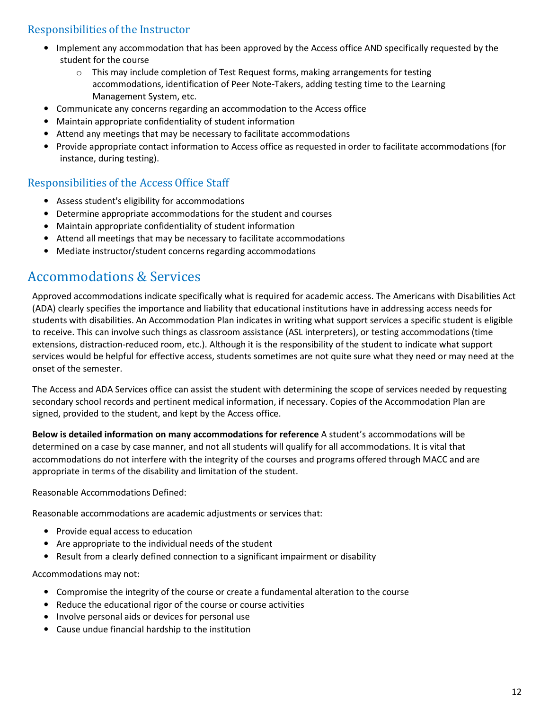## Responsibilities of the Instructor

- Implement any accommodation that has been approved by the Access office AND specifically requested by the student for the course
	- o This may include completion of Test Request forms, making arrangements for testing accommodations, identification of Peer Note-Takers, adding testing time to the Learning Management System, etc.
- Communicate any concerns regarding an accommodation to the Access office
- Maintain appropriate confidentiality of student information
- Attend any meetings that may be necessary to facilitate accommodations
- Provide appropriate contact information to Access office as requested in order to facilitate accommodations (for instance, during testing).

## Responsibilities of the Access Office Staff

- Assess student's eligibility for accommodations
- Determine appropriate accommodations for the student and courses
- Maintain appropriate confidentiality of student information
- Attend all meetings that may be necessary to facilitate accommodations
- Mediate instructor/student concerns regarding accommodations

## Accommodations & Services

Approved accommodations indicate specifically what is required for academic access. The Americans with Disabilities Act (ADA) clearly specifies the importance and liability that educational institutions have in addressing access needs for students with disabilities. An Accommodation Plan indicates in writing what support services a specific student is eligible to receive. This can involve such things as classroom assistance (ASL interpreters), or testing accommodations (time extensions, distraction-reduced room, etc.). Although it is the responsibility of the student to indicate what support services would be helpful for effective access, students sometimes are not quite sure what they need or may need at the onset of the semester.

The Access and ADA Services office can assist the student with determining the scope of services needed by requesting secondary school records and pertinent medical information, if necessary. Copies of the Accommodation Plan are signed, provided to the student, and kept by the Access office.

**Below is detailed information on many accommodations for reference** A student's accommodations will be determined on a case by case manner, and not all students will qualify for all accommodations. It is vital that accommodations do not interfere with the integrity of the courses and programs offered through MACC and are appropriate in terms of the disability and limitation of the student.

Reasonable Accommodations Defined:

Reasonable accommodations are academic adjustments or services that:

- Provide equal access to education
- Are appropriate to the individual needs of the student
- Result from a clearly defined connection to a significant impairment or disability

Accommodations may not:

- Compromise the integrity of the course or create a fundamental alteration to the course
- Reduce the educational rigor of the course or course activities
- Involve personal aids or devices for personal use
- Cause undue financial hardship to the institution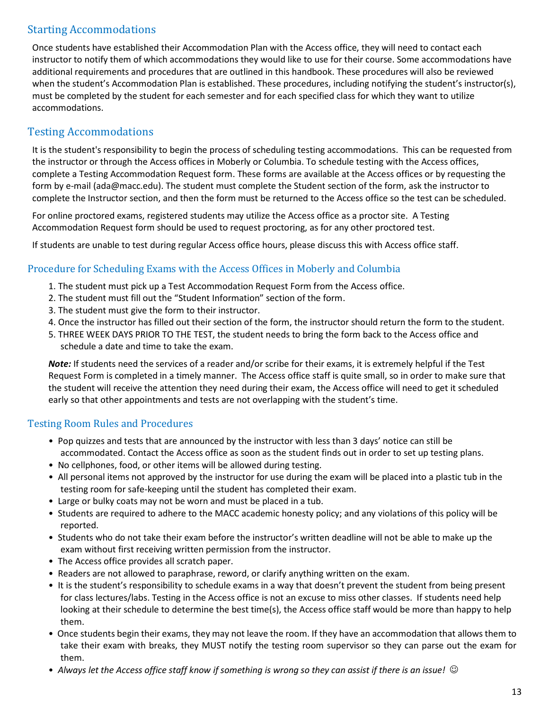## Starting Accommodations

Once students have established their Accommodation Plan with the Access office, they will need to contact each instructor to notify them of which accommodations they would like to use for their course. Some accommodations have additional requirements and procedures that are outlined in this handbook. These procedures will also be reviewed when the student's Accommodation Plan is established. These procedures, including notifying the student's instructor(s), must be completed by the student for each semester and for each specified class for which they want to utilize accommodations.

## Testing Accommodations

It is the student's responsibility to begin the process of scheduling testing accommodations. This can be requested from the instructor or through the Access offices in Moberly or Columbia. To schedule testing with the Access offices, complete a Testing Accommodation Request form. These forms are available at the Access offices or by requesting the form by e-mail (ada@macc.edu). The student must complete the Student section of the form, ask the instructor to complete the Instructor section, and then the form must be returned to the Access office so the test can be scheduled.

For online proctored exams, registered students may utilize the Access office as a proctor site. A Testing Accommodation Request form should be used to request proctoring, as for any other proctored test.

If students are unable to test during regular Access office hours, please discuss this with Access office staff.

### Procedure for Scheduling Exams with the Access Offices in Moberly and Columbia

- 1. The student must pick up a Test Accommodation Request Form from the Access office.
- 2. The student must fill out the "Student Information" section of the form.
- 3. The student must give the form to their instructor.
- 4. Once the instructor has filled out their section of the form, the instructor should return the form to the student.
- 5. THREE WEEK DAYS PRIOR TO THE TEST, the student needs to bring the form back to the Access office and schedule a date and time to take the exam.

*Note:* If students need the services of a reader and/or scribe for their exams, it is extremely helpful if the Test Request Form is completed in a timely manner. The Access office staff is quite small, so in order to make sure that the student will receive the attention they need during their exam, the Access office will need to get it scheduled early so that other appointments and tests are not overlapping with the student's time.

#### Testing Room Rules and Procedures

- Pop quizzes and tests that are announced by the instructor with less than 3 days' notice can still be accommodated. Contact the Access office as soon as the student finds out in order to set up testing plans.
- No cellphones, food, or other items will be allowed during testing.
- All personal items not approved by the instructor for use during the exam will be placed into a plastic tub in the testing room for safe-keeping until the student has completed their exam.
- Large or bulky coats may not be worn and must be placed in a tub.
- Students are required to adhere to the MACC academic honesty policy; and any violations of this policy will be reported.
- Students who do not take their exam before the instructor's written deadline will not be able to make up the exam without first receiving written permission from the instructor.
- The Access office provides all scratch paper.
- Readers are not allowed to paraphrase, reword, or clarify anything written on the exam.
- It is the student's responsibility to schedule exams in a way that doesn't prevent the student from being present for class lectures/labs. Testing in the Access office is not an excuse to miss other classes. If students need help looking at their schedule to determine the best time(s), the Access office staff would be more than happy to help them.
- Once students begin their exams, they may not leave the room. If they have an accommodation that allows them to take their exam with breaks, they MUST notify the testing room supervisor so they can parse out the exam for them.
- *Always let the Access office staff know if something is wrong so they can assist if there is an issue!*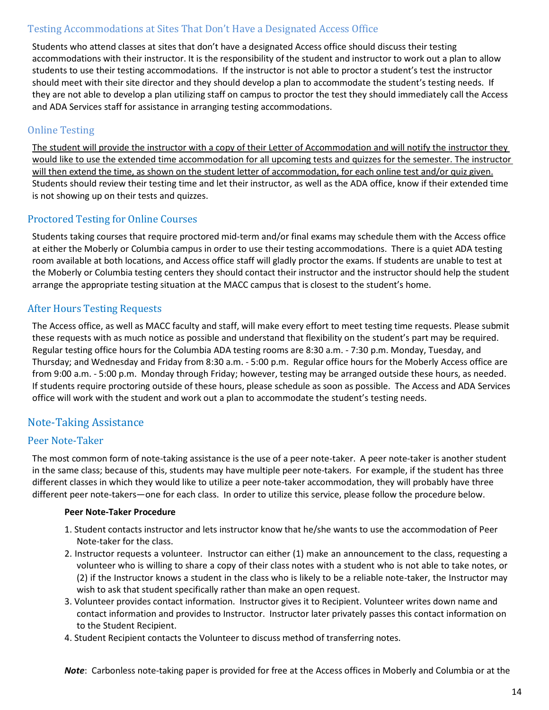### Testing Accommodations at Sites That Don't Have a Designated Access Office

Students who attend classes at sites that don't have a designated Access office should discuss their testing accommodations with their instructor. It is the responsibility of the student and instructor to work out a plan to allow students to use their testing accommodations. If the instructor is not able to proctor a student's test the instructor should meet with their site director and they should develop a plan to accommodate the student's testing needs. If they are not able to develop a plan utilizing staff on campus to proctor the test they should immediately call the Access and ADA Services staff for assistance in arranging testing accommodations.

#### Online Testing

The student will provide the instructor with a copy of their Letter of Accommodation and will notify the instructor they would like to use the extended time accommodation for all upcoming tests and quizzes for the semester. The instructor will then extend the time, as shown on the student letter of accommodation, for each online test and/or quiz given. Students should review their testing time and let their instructor, as well as the ADA office, know if their extended time is not showing up on their tests and quizzes.

### Proctored Testing for Online Courses

Students taking courses that require proctored mid-term and/or final exams may schedule them with the Access office at either the Moberly or Columbia campus in order to use their testing accommodations. There is a quiet ADA testing room available at both locations, and Access office staff will gladly proctor the exams. If students are unable to test at the Moberly or Columbia testing centers they should contact their instructor and the instructor should help the student arrange the appropriate testing situation at the MACC campus that is closest to the student's home.

### After Hours Testing Requests

The Access office, as well as MACC faculty and staff, will make every effort to meet testing time requests. Please submit these requests with as much notice as possible and understand that flexibility on the student's part may be required. Regular testing office hours for the Columbia ADA testing rooms are 8:30 a.m. - 7:30 p.m. Monday, Tuesday, and Thursday; and Wednesday and Friday from 8:30 a.m. - 5:00 p.m. Regular office hours for the Moberly Access office are from 9:00 a.m. - 5:00 p.m. Monday through Friday; however, testing may be arranged outside these hours, as needed. If students require proctoring outside of these hours, please schedule as soon as possible. The Access and ADA Services office will work with the student and work out a plan to accommodate the student's testing needs.

## Note-Taking Assistance

#### Peer Note-Taker

The most common form of note-taking assistance is the use of a peer note-taker. A peer note-taker is another student in the same class; because of this, students may have multiple peer note-takers. For example, if the student has three different classes in which they would like to utilize a peer note-taker accommodation, they will probably have three different peer note-takers—one for each class. In order to utilize this service, please follow the procedure below.

#### **Peer Note-Taker Procedure**

- 1. Student contacts instructor and lets instructor know that he/she wants to use the accommodation of Peer Note-taker for the class.
- 2. Instructor requests a volunteer. Instructor can either (1) make an announcement to the class, requesting a volunteer who is willing to share a copy of their class notes with a student who is not able to take notes, or (2) if the Instructor knows a student in the class who is likely to be a reliable note-taker, the Instructor may wish to ask that student specifically rather than make an open request.
- 3. Volunteer provides contact information. Instructor gives it to Recipient. Volunteer writes down name and contact information and provides to Instructor. Instructor later privately passes this contact information on to the Student Recipient.
- 4. Student Recipient contacts the Volunteer to discuss method of transferring notes.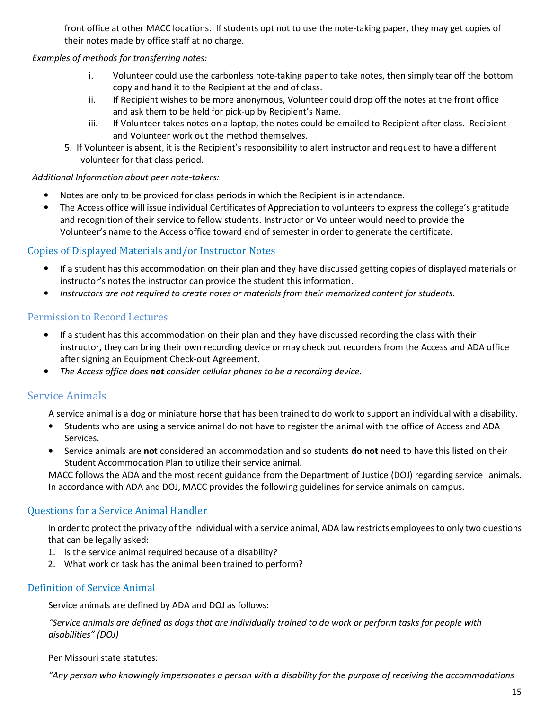front office at other MACC locations. If students opt not to use the note-taking paper, they may get copies of their notes made by office staff at no charge.

#### *Examples of methods for transferring notes:*

- i. Volunteer could use the carbonless note-taking paper to take notes, then simply tear off the bottom copy and hand it to the Recipient at the end of class.
- ii. If Recipient wishes to be more anonymous, Volunteer could drop off the notes at the front office and ask them to be held for pick-up by Recipient's Name.
- iii. If Volunteer takes notes on a laptop, the notes could be emailed to Recipient after class. Recipient and Volunteer work out the method themselves.
- 5. If Volunteer is absent, it is the Recipient's responsibility to alert instructor and request to have a different volunteer for that class period.

#### *Additional Information about peer note-takers:*

- Notes are only to be provided for class periods in which the Recipient is in attendance.
- The Access office will issue individual Certificates of Appreciation to volunteers to express the college's gratitude and recognition of their service to fellow students. Instructor or Volunteer would need to provide the Volunteer's name to the Access office toward end of semester in order to generate the certificate.

#### Copies of Displayed Materials and/or Instructor Notes

- If a student has this accommodation on their plan and they have discussed getting copies of displayed materials or instructor's notes the instructor can provide the student this information.
- *Instructors are not required to create notes or materials from their memorized content for students.*

#### Permission to Record Lectures

- If a student has this accommodation on their plan and they have discussed recording the class with their instructor, they can bring their own recording device or may check out recorders from the Access and ADA office after signing an Equipment Check-out Agreement.
- *The Access office does not consider cellular phones to be a recording device.*

## Service Animals

A service animal is a dog or miniature horse that has been trained to do work to support an individual with a disability.

- Students who are using a service animal do not have to register the animal with the office of Access and ADA Services.
- Service animals are **not** considered an accommodation and so students **do not** need to have this listed on their Student Accommodation Plan to utilize their service animal.

MACC follows the ADA and the most recent guidance from the Department of Justice (DOJ) regarding service animals. In accordance with ADA and DOJ, MACC provides the following guidelines for service animals on campus.

#### Questions for a Service Animal Handler

In order to protect the privacy of the individual with a service animal, ADA law restricts employees to only two questions that can be legally asked:

- 1. Is the service animal required because of a disability?
- 2. What work or task has the animal been trained to perform?

#### Definition of Service Animal

Service animals are defined by ADA and DOJ as follows:

*"Service animals are defined as dogs that are individually trained to do work or perform tasks for people with disabilities" (DOJ)* 

Per Missouri state statutes:

*"Any person who knowingly impersonates a person with a disability for the purpose of receiving the accommodations*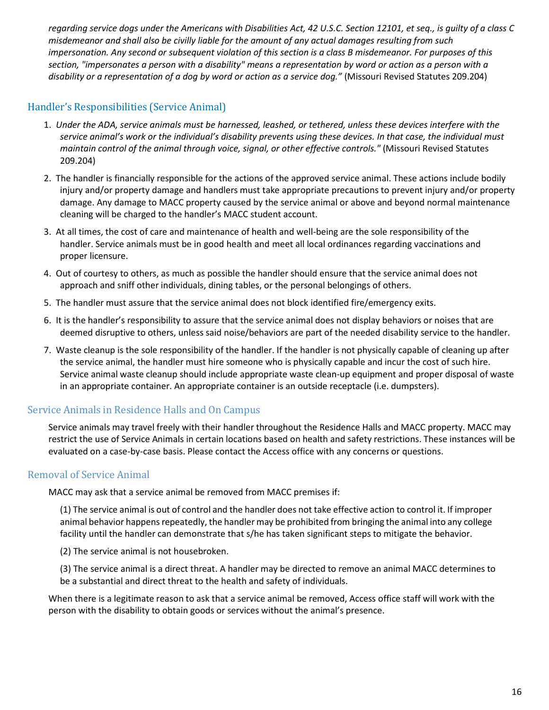*regarding service dogs under the Americans with Disabilities Act, 42 U.S.C. Section 12101, et seq., is guilty of a class C misdemeanor and shall also be civilly liable for the amount of any actual damages resulting from such impersonation. Any second or subsequent violation of this section is a class B misdemeanor. For purposes of this section, "impersonates a person with a disability" means a representation by word or action as a person with a disability or a representation of a dog by word or action as a service dog."* (Missouri Revised Statutes 209.204)

## Handler's Responsibilities (Service Animal)

- 1. *Under the ADA, service animals must be harnessed, leashed, or tethered, unless these devices interfere with the service animal's work or the individual's disability prevents using these devices. In that case, the individual must maintain control of the animal through voice, signal, or other effective controls."* (Missouri Revised Statutes 209.204)
- 2. The handler is financially responsible for the actions of the approved service animal. These actions include bodily injury and/or property damage and handlers must take appropriate precautions to prevent injury and/or property damage. Any damage to MACC property caused by the service animal or above and beyond normal maintenance cleaning will be charged to the handler's MACC student account.
- 3. At all times, the cost of care and maintenance of health and well-being are the sole responsibility of the handler. Service animals must be in good health and meet all local ordinances regarding vaccinations and proper licensure.
- 4. Out of courtesy to others, as much as possible the handler should ensure that the service animal does not approach and sniff other individuals, dining tables, or the personal belongings of others.
- 5. The handler must assure that the service animal does not block identified fire/emergency exits.
- 6. It is the handler's responsibility to assure that the service animal does not display behaviors or noises that are deemed disruptive to others, unless said noise/behaviors are part of the needed disability service to the handler.
- 7. Waste cleanup is the sole responsibility of the handler. If the handler is not physically capable of cleaning up after the service animal, the handler must hire someone who is physically capable and incur the cost of such hire. Service animal waste cleanup should include appropriate waste clean-up equipment and proper disposal of waste in an appropriate container. An appropriate container is an outside receptacle (i.e. dumpsters).

#### Service Animals in Residence Halls and On Campus

Service animals may travel freely with their handler throughout the Residence Halls and MACC property. MACC may restrict the use of Service Animals in certain locations based on health and safety restrictions. These instances will be evaluated on a case-by-case basis. Please contact the Access office with any concerns or questions.

#### Removal of Service Animal

MACC may ask that a service animal be removed from MACC premises if:

(1) The service animal is out of control and the handler does not take effective action to control it. If improper animal behavior happens repeatedly, the handler may be prohibited from bringing the animal into any college facility until the handler can demonstrate that s/he has taken significant steps to mitigate the behavior.

(2) The service animal is not housebroken.

(3) The service animal is a direct threat. A handler may be directed to remove an animal MACC determines to be a substantial and direct threat to the health and safety of individuals.

When there is a legitimate reason to ask that a service animal be removed, Access office staff will work with the person with the disability to obtain goods or services without the animal's presence.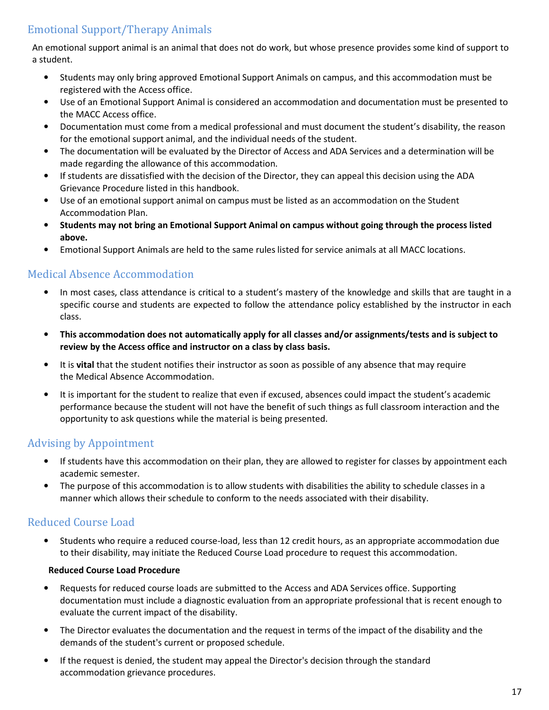## Emotional Support/Therapy Animals

An emotional support animal is an animal that does not do work, but whose presence provides some kind of support to a student.

- Students may only bring approved Emotional Support Animals on campus, and this accommodation must be registered with the Access office.
- Use of an Emotional Support Animal is considered an accommodation and documentation must be presented to the MACC Access office.
- Documentation must come from a medical professional and must document the student's disability, the reason for the emotional support animal, and the individual needs of the student.
- The documentation will be evaluated by the Director of Access and ADA Services and a determination will be made regarding the allowance of this accommodation.
- If students are dissatisfied with the decision of the Director, they can appeal this decision using the ADA Grievance Procedure listed in this handbook.
- Use of an emotional support animal on campus must be listed as an accommodation on the Student Accommodation Plan.
- **Students may not bring an Emotional Support Animal on campus without going through the process listed above.**
- Emotional Support Animals are held to the same rules listed for service animals at all MACC locations.

## Medical Absence Accommodation

- In most cases, class attendance is critical to a student's mastery of the knowledge and skills that are taught in a specific course and students are expected to follow the attendance policy established by the instructor in each class.
- **This accommodation does not automatically apply for all classes and/or assignments/tests and is subject to review by the Access office and instructor on a class by class basis.**
- It is **vital** that the student notifies their instructor as soon as possible of any absence that may require the Medical Absence Accommodation.
- It is important for the student to realize that even if excused, absences could impact the student's academic performance because the student will not have the benefit of such things as full classroom interaction and the opportunity to ask questions while the material is being presented.

## Advising by Appointment

- If students have this accommodation on their plan, they are allowed to register for classes by appointment each academic semester.
- The purpose of this accommodation is to allow students with disabilities the ability to schedule classes in a manner which allows their schedule to conform to the needs associated with their disability.

## Reduced Course Load

• Students who require a reduced course-load, less than 12 credit hours, as an appropriate accommodation due to their disability, may initiate the Reduced Course Load procedure to request this accommodation.

#### **Reduced Course Load Procedure**

- Requests for reduced course loads are submitted to the Access and ADA Services office. Supporting documentation must include a diagnostic evaluation from an appropriate professional that is recent enough to evaluate the current impact of the disability.
- The Director evaluates the documentation and the request in terms of the impact of the disability and the demands of the student's current or proposed schedule.
- If the request is denied, the student may appeal the Director's decision through the standard accommodation grievance procedures.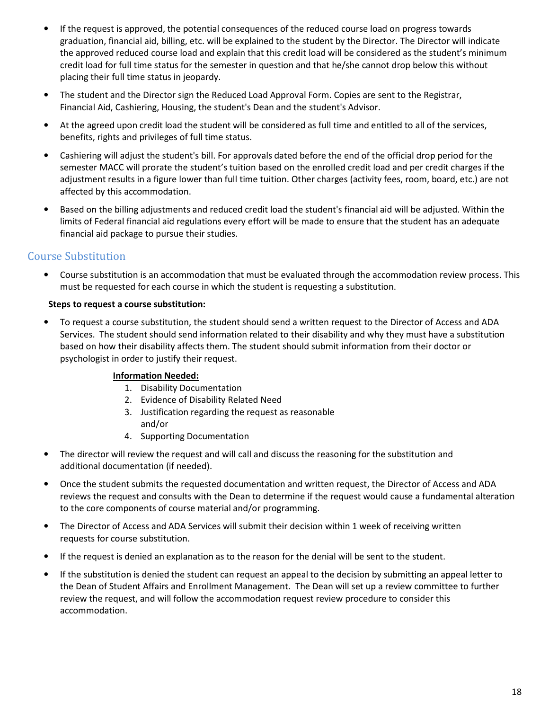- If the request is approved, the potential consequences of the reduced course load on progress towards graduation, financial aid, billing, etc. will be explained to the student by the Director. The Director will indicate the approved reduced course load and explain that this credit load will be considered as the student's minimum credit load for full time status for the semester in question and that he/she cannot drop below this without placing their full time status in jeopardy.
- The student and the Director sign the Reduced Load Approval Form. Copies are sent to the Registrar, Financial Aid, Cashiering, Housing, the student's Dean and the student's Advisor.
- At the agreed upon credit load the student will be considered as full time and entitled to all of the services, benefits, rights and privileges of full time status.
- Cashiering will adjust the student's bill. For approvals dated before the end of the official drop period for the semester MACC will prorate the student's tuition based on the enrolled credit load and per credit charges if the adjustment results in a figure lower than full time tuition. Other charges (activity fees, room, board, etc.) are not affected by this accommodation.
- Based on the billing adjustments and reduced credit load the student's financial aid will be adjusted. Within the limits of Federal financial aid regulations every effort will be made to ensure that the student has an adequate financial aid package to pursue their studies.

## Course Substitution

• Course substitution is an accommodation that must be evaluated through the accommodation review process. This must be requested for each course in which the student is requesting a substitution.

#### **Steps to request a course substitution:**

• To request a course substitution, the student should send a written request to the Director of Access and ADA Services. The student should send information related to their disability and why they must have a substitution based on how their disability affects them. The student should submit information from their doctor or psychologist in order to justify their request.

#### **Information Needed:**

- 1. Disability Documentation
- 2. Evidence of Disability Related Need
- 3. Justification regarding the request as reasonable and/or
- 4. Supporting Documentation
- The director will review the request and will call and discuss the reasoning for the substitution and additional documentation (if needed).
- Once the student submits the requested documentation and written request, the Director of Access and ADA reviews the request and consults with the Dean to determine if the request would cause a fundamental alteration to the core components of course material and/or programming.
- The Director of Access and ADA Services will submit their decision within 1 week of receiving written requests for course substitution.
- If the request is denied an explanation as to the reason for the denial will be sent to the student.
- If the substitution is denied the student can request an appeal to the decision by submitting an appeal letter to the Dean of Student Affairs and Enrollment Management. The Dean will set up a review committee to further review the request, and will follow the accommodation request review procedure to consider this accommodation.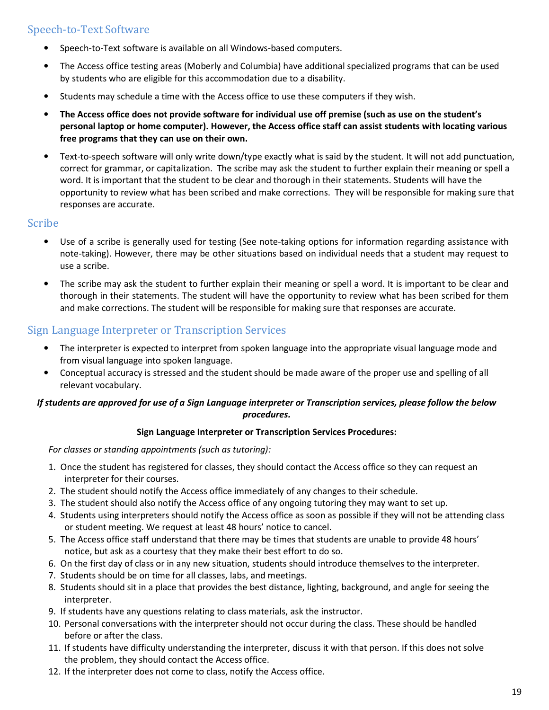## Speech-to-Text Software

- Speech-to-Text software is available on all Windows-based computers.
- The Access office testing areas (Moberly and Columbia) have additional specialized programs that can be used by students who are eligible for this accommodation due to a disability.
- Students may schedule a time with the Access office to use these computers if they wish.
- **The Access office does not provide software for individual use off premise (such as use on the student's personal laptop or home computer). However, the Access office staff can assist students with locating various free programs that they can use on their own.**
- Text-to-speech software will only write down/type exactly what is said by the student. It will not add punctuation, correct for grammar, or capitalization. The scribe may ask the student to further explain their meaning or spell a word. It is important that the student to be clear and thorough in their statements. Students will have the opportunity to review what has been scribed and make corrections. They will be responsible for making sure that responses are accurate.

#### Scribe

- Use of a scribe is generally used for testing (See note-taking options for information regarding assistance with note-taking). However, there may be other situations based on individual needs that a student may request to use a scribe.
- The scribe may ask the student to further explain their meaning or spell a word. It is important to be clear and thorough in their statements. The student will have the opportunity to review what has been scribed for them and make corrections. The student will be responsible for making sure that responses are accurate.

## Sign Language Interpreter or Transcription Services

- The interpreter is expected to interpret from spoken language into the appropriate visual language mode and from visual language into spoken language.
- Conceptual accuracy is stressed and the student should be made aware of the proper use and spelling of all relevant vocabulary.

#### *If students are approved for use of a Sign Language interpreter or Transcription services, please follow the below procedures.*

#### **Sign Language Interpreter or Transcription Services Procedures:**

*For classes or standing appointments (such as tutoring):*

- 1. Once the student has registered for classes, they should contact the Access office so they can request an interpreter for their courses.
- 2. The student should notify the Access office immediately of any changes to their schedule.
- 3. The student should also notify the Access office of any ongoing tutoring they may want to set up.
- 4. Students using interpreters should notify the Access office as soon as possible if they will not be attending class or student meeting. We request at least 48 hours' notice to cancel.
- 5. The Access office staff understand that there may be times that students are unable to provide 48 hours' notice, but ask as a courtesy that they make their best effort to do so.
- 6. On the first day of class or in any new situation, students should introduce themselves to the interpreter.
- 7. Students should be on time for all classes, labs, and meetings.
- 8. Students should sit in a place that provides the best distance, lighting, background, and angle for seeing the interpreter.
- 9. If students have any questions relating to class materials, ask the instructor.
- 10. Personal conversations with the interpreter should not occur during the class. These should be handled before or after the class.
- 11. If students have difficulty understanding the interpreter, discuss it with that person. If this does not solve the problem, they should contact the Access office.
- 12. If the interpreter does not come to class, notify the Access office.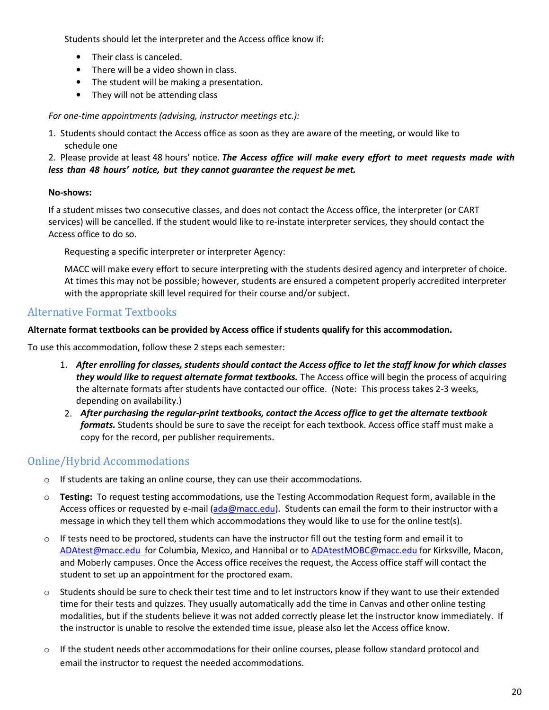Students should let the interpreter and the Access office know if:

- Their class is canceled.
- There will be a video shown in class.
- The student will be making a presentation.
- They will not be attending class

*For one-time appointments (advising, instructor meetings etc.):* 

1. Students should contact the Access office as soon as they are aware of the meeting, or would like to schedule one

2. Please provide at least 48 hours' notice. *The Access office will make every effort to meet requests made with less than 48 hours' notice, but they cannot guarantee the request be met.* 

#### **No-shows:**

If a student misses two consecutive classes, and does not contact the Access office, the interpreter (or CART services) will be cancelled. If the student would like to re-instate interpreter services, they should contact the Access office to do so.

Requesting a specific interpreter or interpreter Agency:

MACC will make every effort to secure interpreting with the students desired agency and interpreter of choice. At times this may not be possible; however, students are ensured a competent properly accredited interpreter with the appropriate skill level required for their course and/or subject.

## Alternative Format Textbooks

**Alternate format textbooks can be provided by Access office if students qualify for this accommodation.** 

To use this accommodation, follow these 2 steps each semester:

- 1. *After enrolling for classes, students should contact the Access office to let the staff know for which classes they would like to request alternate format textbooks.* The Access office will begin the process of acquiring the alternate formats after students have contacted our office. (Note: This process takes 2-3 weeks, depending on availability.)
- 2. *After purchasing the regular-print textbooks, contact the Access office to get the alternate textbook formats.* Students should be sure to save the receipt for each textbook. Access office staff must make a copy for the record, per publisher requirements.

## Online/Hybrid Accommodations

- $\circ$  If students are taking an online course, they can use their accommodations.
- o **Testing:** To request testing accommodations, use the Testing Accommodation Request form, available in the Access offices or requested by e-mail (ada@macc.edu). Students can email the form to their instructor with a message in which they tell them which accommodations they would like to use for the online test(s).
- $\circ$  If tests need to be proctored, students can have the instructor fill out the testing form and email it to ADAtest@macc.edu for Columbia, Mexico, and Hannibal or to ADAtestMOBC@macc.edu for Kirksville, Macon, and Moberly campuses. Once the Access office receives the request, the Access office staff will contact the student to set up an appointment for the proctored exam.
- $\circ$  Students should be sure to check their test time and to let instructors know if they want to use their extended time for their tests and quizzes. They usually automatically add the time in Canvas and other online testing modalities, but if the students believe it was not added correctly please let the instructor know immediately. If the instructor is unable to resolve the extended time issue, please also let the Access office know.
- $\circ$  If the student needs other accommodations for their online courses, please follow standard protocol and email the instructor to request the needed accommodations.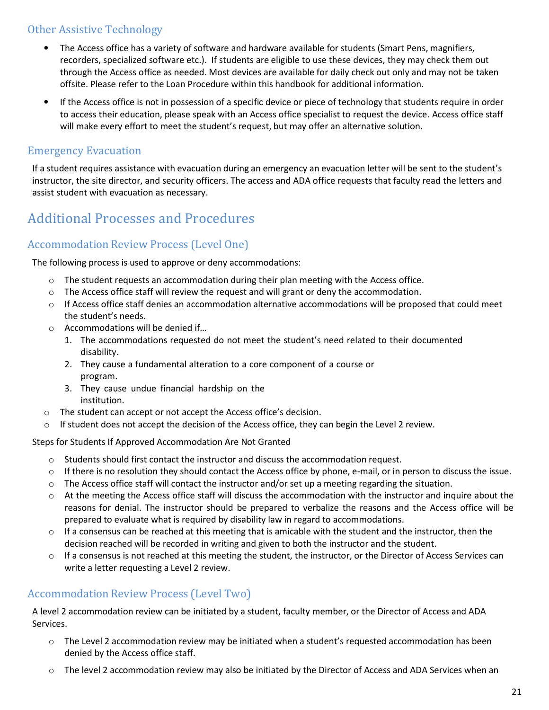## Other Assistive Technology

- The Access office has a variety of software and hardware available for students (Smart Pens, magnifiers, recorders, specialized software etc.). If students are eligible to use these devices, they may check them out through the Access office as needed. Most devices are available for daily check out only and may not be taken offsite. Please refer to the Loan Procedure within this handbook for additional information.
- If the Access office is not in possession of a specific device or piece of technology that students require in order to access their education, please speak with an Access office specialist to request the device. Access office staff will make every effort to meet the student's request, but may offer an alternative solution.

## Emergency Evacuation

If a student requires assistance with evacuation during an emergency an evacuation letter will be sent to the student's instructor, the site director, and security officers. The access and ADA office requests that faculty read the letters and assist student with evacuation as necessary.

## Additional Processes and Procedures

## Accommodation Review Process (Level One)

The following process is used to approve or deny accommodations:

- $\circ$  The student requests an accommodation during their plan meeting with the Access office.
- $\circ$  The Access office staff will review the request and will grant or deny the accommodation.
- o If Access office staff denies an accommodation alternative accommodations will be proposed that could meet the student's needs.
- o Accommodations will be denied if…
	- 1. The accommodations requested do not meet the student's need related to their documented disability.
	- 2. They cause a fundamental alteration to a core component of a course or program.
	- 3. They cause undue financial hardship on the institution.
- o The student can accept or not accept the Access office's decision.
- $\circ$  If student does not accept the decision of the Access office, they can begin the Level 2 review.

Steps for Students If Approved Accommodation Are Not Granted

- $\circ$  Students should first contact the instructor and discuss the accommodation request.
- $\circ$  If there is no resolution they should contact the Access office by phone, e-mail, or in person to discuss the issue.
- o The Access office staff will contact the instructor and/or set up a meeting regarding the situation.
- $\circ$  At the meeting the Access office staff will discuss the accommodation with the instructor and inquire about the reasons for denial. The instructor should be prepared to verbalize the reasons and the Access office will be prepared to evaluate what is required by disability law in regard to accommodations.
- $\circ$  If a consensus can be reached at this meeting that is amicable with the student and the instructor, then the decision reached will be recorded in writing and given to both the instructor and the student.
- $\circ$  If a consensus is not reached at this meeting the student, the instructor, or the Director of Access Services can write a letter requesting a Level 2 review.

## Accommodation Review Process (Level Two)

A level 2 accommodation review can be initiated by a student, faculty member, or the Director of Access and ADA Services.

- $\circ$  The Level 2 accommodation review may be initiated when a student's requested accommodation has been denied by the Access office staff.
- o The level 2 accommodation review may also be initiated by the Director of Access and ADA Services when an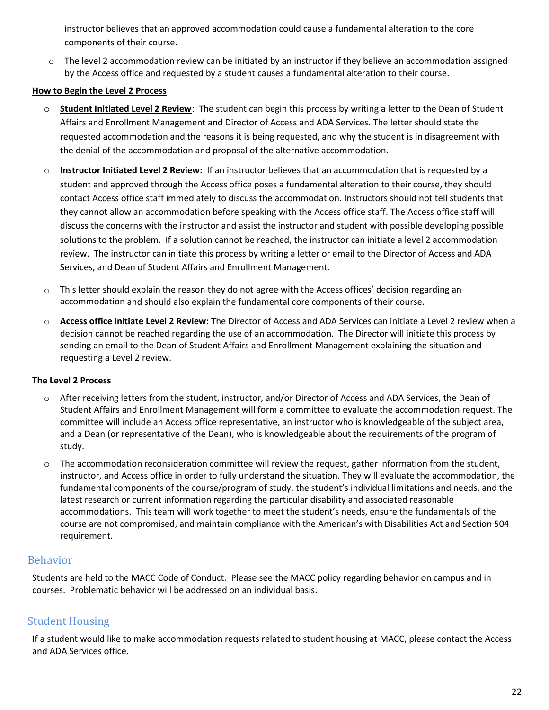instructor believes that an approved accommodation could cause a fundamental alteration to the core components of their course.

o The level 2 accommodation review can be initiated by an instructor if they believe an accommodation assigned by the Access office and requested by a student causes a fundamental alteration to their course.

#### **How to Begin the Level 2 Process**

- o **Student Initiated Level 2 Review**: The student can begin this process by writing a letter to the Dean of Student Affairs and Enrollment Management and Director of Access and ADA Services. The letter should state the requested accommodation and the reasons it is being requested, and why the student is in disagreement with the denial of the accommodation and proposal of the alternative accommodation.
- o **Instructor Initiated Level 2 Review:** If an instructor believes that an accommodation that is requested by a student and approved through the Access office poses a fundamental alteration to their course, they should contact Access office staff immediately to discuss the accommodation. Instructors should not tell students that they cannot allow an accommodation before speaking with the Access office staff. The Access office staff will discuss the concerns with the instructor and assist the instructor and student with possible developing possible solutions to the problem. If a solution cannot be reached, the instructor can initiate a level 2 accommodation review. The instructor can initiate this process by writing a letter or email to the Director of Access and ADA Services, and Dean of Student Affairs and Enrollment Management.
- $\circ$  This letter should explain the reason they do not agree with the Access offices' decision regarding an accommodation and should also explain the fundamental core components of their course.
- o **Access office initiate Level 2 Review:** The Director of Access and ADA Services can initiate a Level 2 review when a decision cannot be reached regarding the use of an accommodation. The Director will initiate this process by sending an email to the Dean of Student Affairs and Enrollment Management explaining the situation and requesting a Level 2 review.

#### **The Level 2 Process**

- o After receiving letters from the student, instructor, and/or Director of Access and ADA Services, the Dean of Student Affairs and Enrollment Management will form a committee to evaluate the accommodation request. The committee will include an Access office representative, an instructor who is knowledgeable of the subject area, and a Dean (or representative of the Dean), who is knowledgeable about the requirements of the program of study.
- $\circ$  The accommodation reconsideration committee will review the request, gather information from the student, instructor, and Access office in order to fully understand the situation. They will evaluate the accommodation, the fundamental components of the course/program of study, the student's individual limitations and needs, and the latest research or current information regarding the particular disability and associated reasonable accommodations. This team will work together to meet the student's needs, ensure the fundamentals of the course are not compromised, and maintain compliance with the American's with Disabilities Act and Section 504 requirement.

#### Behavior

Students are held to the MACC Code of Conduct. Please see the MACC policy regarding behavior on campus and in courses. Problematic behavior will be addressed on an individual basis.

## Student Housing

If a student would like to make accommodation requests related to student housing at MACC, please contact the Access and ADA Services office.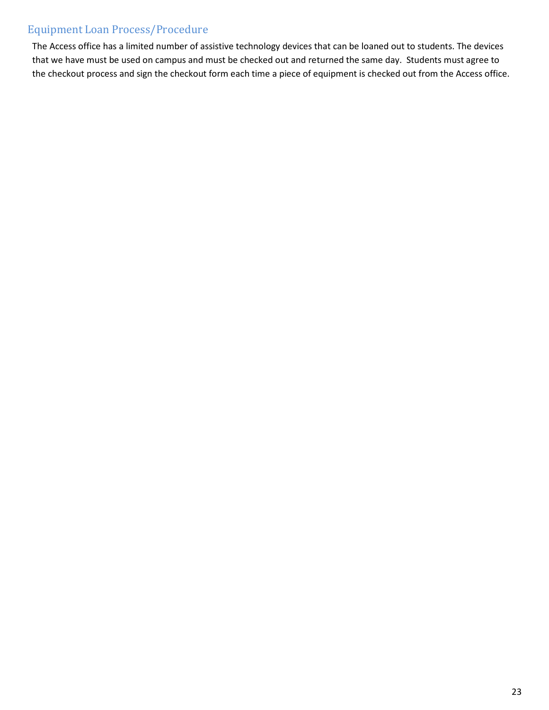## Equipment Loan Process/Procedure

The Access office has a limited number of assistive technology devices that can be loaned out to students. The devices that we have must be used on campus and must be checked out and returned the same day. Students must agree to the checkout process and sign the checkout form each time a piece of equipment is checked out from the Access office.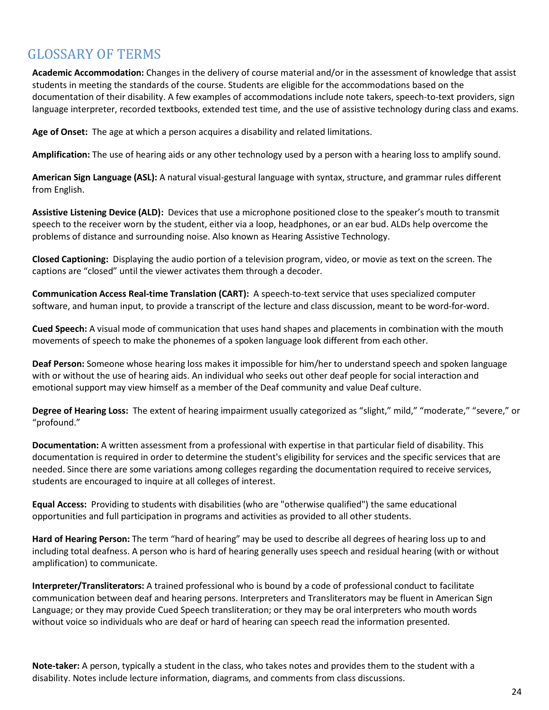## GLOSSARY OF TERMS

**Academic Accommodation:** Changes in the delivery of course material and/or in the assessment of knowledge that assist students in meeting the standards of the course. Students are eligible for the accommodations based on the documentation of their disability. A few examples of accommodations include note takers, speech-to-text providers, sign language interpreter, recorded textbooks, extended test time, and the use of assistive technology during class and exams.

**Age of Onset:** The age at which a person acquires a disability and related limitations.

**Amplification:** The use of hearing aids or any other technology used by a person with a hearing loss to amplify sound.

**American Sign Language (ASL):** A natural visual-gestural language with syntax, structure, and grammar rules different from English.

**Assistive Listening Device (ALD):** Devices that use a microphone positioned close to the speaker's mouth to transmit speech to the receiver worn by the student, either via a loop, headphones, or an ear bud. ALDs help overcome the problems of distance and surrounding noise. Also known as Hearing Assistive Technology.

**Closed Captioning:** Displaying the audio portion of a television program, video, or movie as text on the screen. The captions are "closed" until the viewer activates them through a decoder.

**Communication Access Real-time Translation (CART):** A speech-to-text service that uses specialized computer software, and human input, to provide a transcript of the lecture and class discussion, meant to be word-for-word.

**Cued Speech:** A visual mode of communication that uses hand shapes and placements in combination with the mouth movements of speech to make the phonemes of a spoken language look different from each other.

**Deaf Person:** Someone whose hearing loss makes it impossible for him/her to understand speech and spoken language with or without the use of hearing aids. An individual who seeks out other deaf people for social interaction and emotional support may view himself as a member of the Deaf community and value Deaf culture.

**Degree of Hearing Loss:** The extent of hearing impairment usually categorized as "slight," mild," "moderate," "severe," or "profound."

**Documentation:** A written assessment from a professional with expertise in that particular field of disability. This documentation is required in order to determine the student's eligibility for services and the specific services that are needed. Since there are some variations among colleges regarding the documentation required to receive services, students are encouraged to inquire at all colleges of interest.

**Equal Access:** Providing to students with disabilities (who are "otherwise qualified") the same educational opportunities and full participation in programs and activities as provided to all other students.

**Hard of Hearing Person:** The term "hard of hearing" may be used to describe all degrees of hearing loss up to and including total deafness. A person who is hard of hearing generally uses speech and residual hearing (with or without amplification) to communicate.

**Interpreter/Transliterators:** A trained professional who is bound by a code of professional conduct to facilitate communication between deaf and hearing persons. Interpreters and Transliterators may be fluent in American Sign Language; or they may provide Cued Speech transliteration; or they may be oral interpreters who mouth words without voice so individuals who are deaf or hard of hearing can speech read the information presented.

**Note-taker:** A person, typically a student in the class, who takes notes and provides them to the student with a disability. Notes include lecture information, diagrams, and comments from class discussions.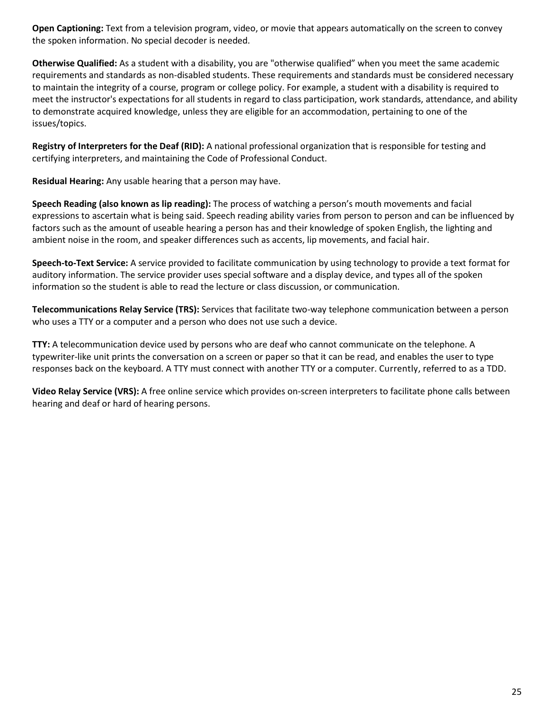**Open Captioning:** Text from a television program, video, or movie that appears automatically on the screen to convey the spoken information. No special decoder is needed.

**Otherwise Qualified:** As a student with a disability, you are "otherwise qualified" when you meet the same academic requirements and standards as non-disabled students. These requirements and standards must be considered necessary to maintain the integrity of a course, program or college policy. For example, a student with a disability is required to meet the instructor's expectations for all students in regard to class participation, work standards, attendance, and ability to demonstrate acquired knowledge, unless they are eligible for an accommodation, pertaining to one of the issues/topics.

**Registry of Interpreters for the Deaf (RID):** A national professional organization that is responsible for testing and certifying interpreters, and maintaining the Code of Professional Conduct.

**Residual Hearing:** Any usable hearing that a person may have.

**Speech Reading (also known as lip reading):** The process of watching a person's mouth movements and facial expressions to ascertain what is being said. Speech reading ability varies from person to person and can be influenced by factors such as the amount of useable hearing a person has and their knowledge of spoken English, the lighting and ambient noise in the room, and speaker differences such as accents, lip movements, and facial hair.

**Speech-to-Text Service:** A service provided to facilitate communication by using technology to provide a text format for auditory information. The service provider uses special software and a display device, and types all of the spoken information so the student is able to read the lecture or class discussion, or communication.

**Telecommunications Relay Service (TRS):** Services that facilitate two-way telephone communication between a person who uses a TTY or a computer and a person who does not use such a device.

**TTY:** A telecommunication device used by persons who are deaf who cannot communicate on the telephone. A typewriter-like unit prints the conversation on a screen or paper so that it can be read, and enables the user to type responses back on the keyboard. A TTY must connect with another TTY or a computer. Currently, referred to as a TDD.

**Video Relay Service (VRS):** A free online service which provides on-screen interpreters to facilitate phone calls between hearing and deaf or hard of hearing persons.